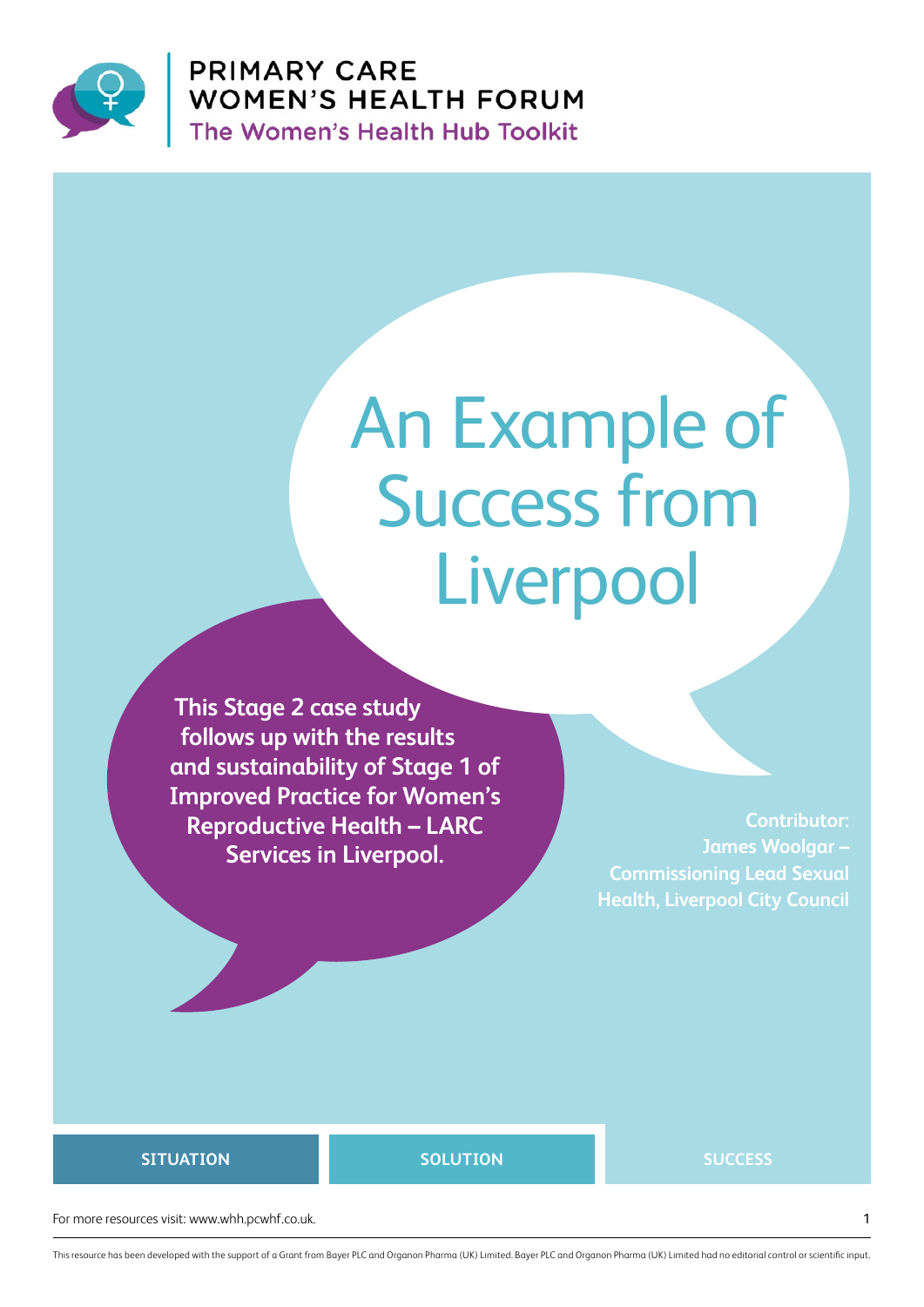

**PRIMARY CARE** WOMEN'S HEALTH FORUM<br>The Women's Health Hub Toolkit

# An Example of Success from **Liverpool**

**This Stage 2 case study follows up with the results and sustainability of Stage 1 of Improved Practice for Women's Reproductive Health – LARC Services in Liverpool.**

**Contributor: James Woolgar – Commissioning Lead Sexual Health, Liverpool City Council**

#### **SITUATION**

**SOLUTION SUCCESS**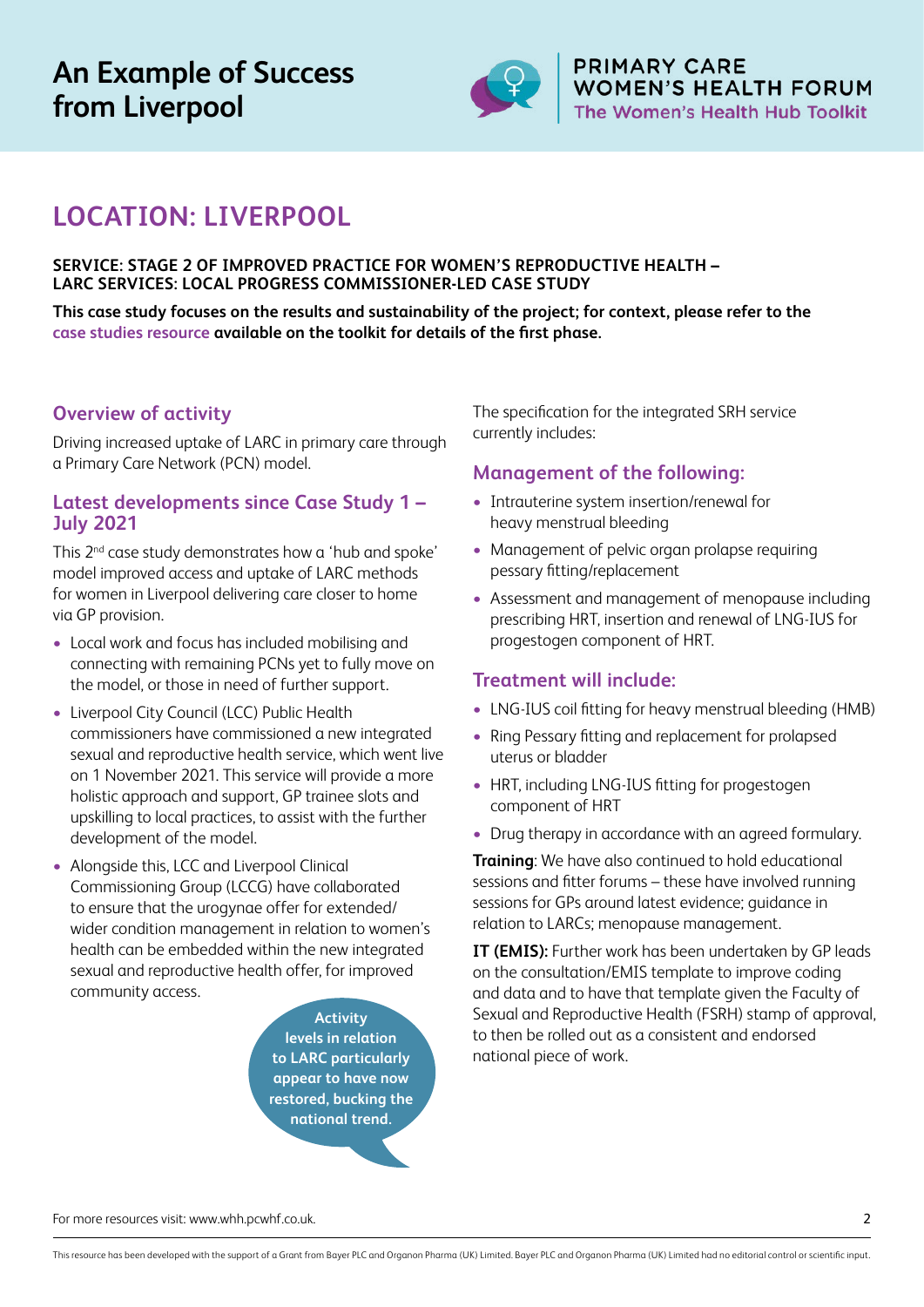

**PRIMARY CARE** WOMEN'S HEALTH FORUM The Women's Health Hub Toolkit

# **LOCATION: LIVERPOOL**

#### **SERVICE: STAGE 2 OF IMPROVED PRACTICE FOR WOMEN'S REPRODUCTIVE HEALTH – LARC SERVICES: LOCAL PROGRESS COMMISSIONER-LED CASE STUDY**

**This case study focuses on the results and sustainability of the project; for context, please refer to the [case studies resource](https://whh.pcwhf.co.uk/resources/case-studies/) available on the toolkit for details of the first phase.**

# **Overview of activity**

Driving increased uptake of LARC in primary care through a Primary Care Network (PCN) model.

## **Latest developments since Case Study 1 – July 2021**

This 2<sup>nd</sup> case study demonstrates how a 'hub and spoke' model improved access and uptake of LARC methods for women in Liverpool delivering care closer to home via GP provision.

- **•** Local work and focus has included mobilising and connecting with remaining PCNs yet to fully move on the model, or those in need of further support.
- **•** Liverpool City Council (LCC) Public Health commissioners have commissioned a new integrated sexual and reproductive health service, which went live on 1 November 2021. This service will provide a more holistic approach and support, GP trainee slots and upskilling to local practices, to assist with the further development of the model.
- **•** Alongside this, LCC and Liverpool Clinical Commissioning Group (LCCG) have collaborated to ensure that the urogynae offer for extended/ wider condition management in relation to women's health can be embedded within the new integrated sexual and reproductive health offer, for improved community access.

**Activity levels in relation to LARC particularly appear to have now restored, bucking the national trend.**

The specification for the integrated SRH service currently includes:

## **Management of the following:**

- **•** Intrauterine system insertion/renewal for heavy menstrual bleeding
- **•** Management of pelvic organ prolapse requiring pessary fitting/replacement
- **•** Assessment and management of menopause including prescribing HRT, insertion and renewal of LNG-IUS for progestogen component of HRT.

## **Treatment will include:**

- **•** LNG-IUS coil fitting for heavy menstrual bleeding (HMB)
- **•** Ring Pessary fitting and replacement for prolapsed uterus or bladder
- **•** HRT, including LNG-IUS fitting for progestogen component of HRT
- **•** Drug therapy in accordance with an agreed formulary.

**Training**: We have also continued to hold educational sessions and fitter forums – these have involved running sessions for GPs around latest evidence; guidance in relation to LARCs; menopause management.

**IT (EMIS):** Further work has been undertaken by GP leads on the consultation/EMIS template to improve coding and data and to have that template given the Faculty of Sexual and Reproductive Health (FSRH) stamp of approval, to then be rolled out as a consistent and endorsed national piece of work.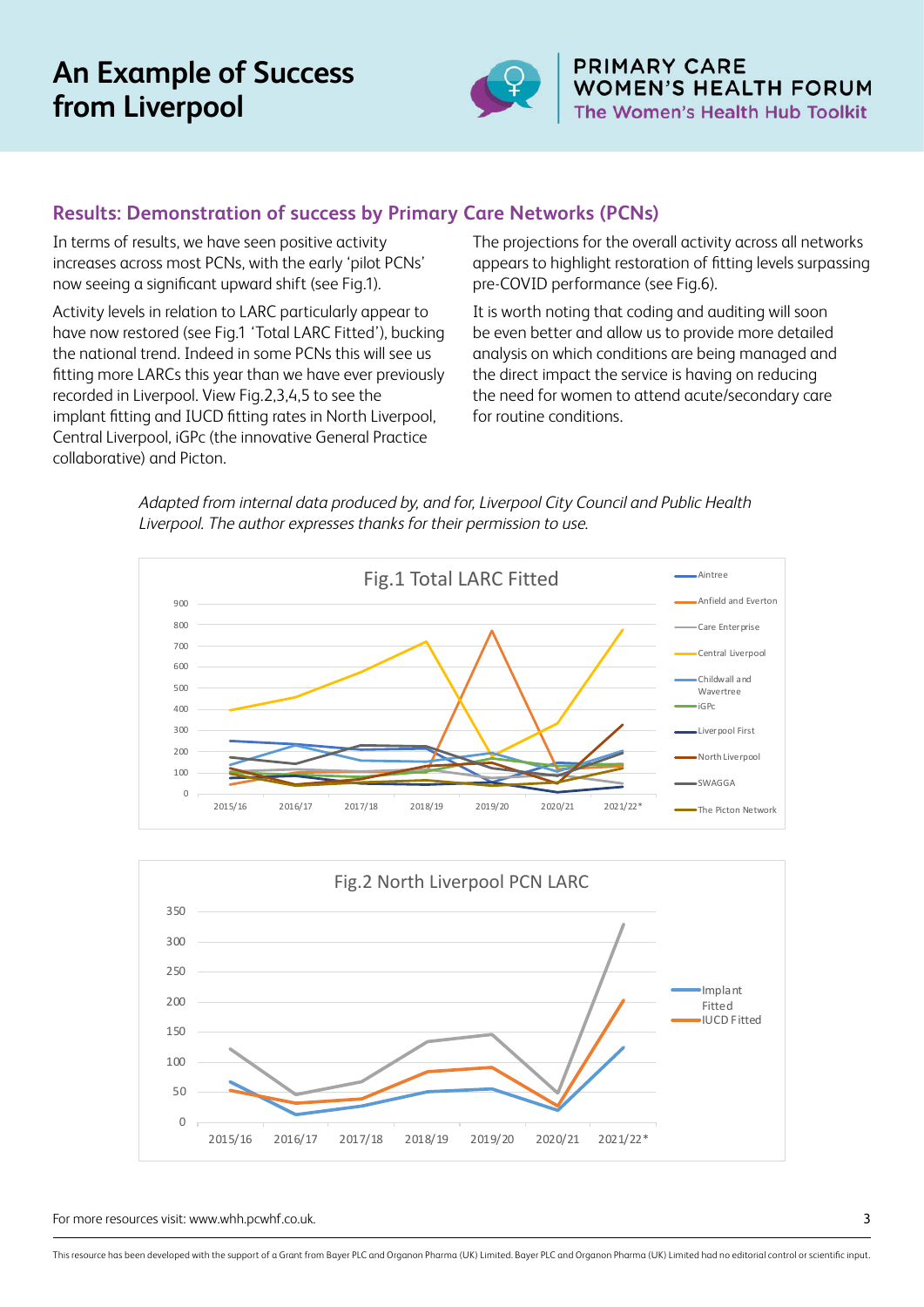

**PRIMARY CARE WOMEN'S HEALTH FORUM** The Women's Health Hub Toolkit

# **Results: Demonstration of success by Primary Care Networks (PCNs)**

In terms of results, we have seen positive activity increases across most PCNs, with the early 'pilot PCNs' now seeing a significant upward shift (see Fig.1).

Activity levels in relation to LARC particularly appear to have now restored (see Fig.1 'Total LARC Fitted'), bucking the national trend. Indeed in some PCNs this will see us fitting more LARCs this year than we have ever previously recorded in Liverpool. View Fig.2,3,4,5 to see the implant fitting and IUCD fitting rates in North Liverpool, Central Liverpool, iGPc (the innovative General Practice collaborative) and Picton.

The projections for the overall activity across all networks appears to highlight restoration of fitting levels surpassing pre-COVID performance (see Fig.6).

It is worth noting that coding and auditing will soon be even better and allow us to provide more detailed analysis on which conditions are being managed and the direct impact the service is having on reducing the need for women to attend acute/secondary care for routine conditions.

Adapted from internal data produced by, and for, Liverpool City Council and Public Health Liverpool. The author expresses thanks for their permission to use.



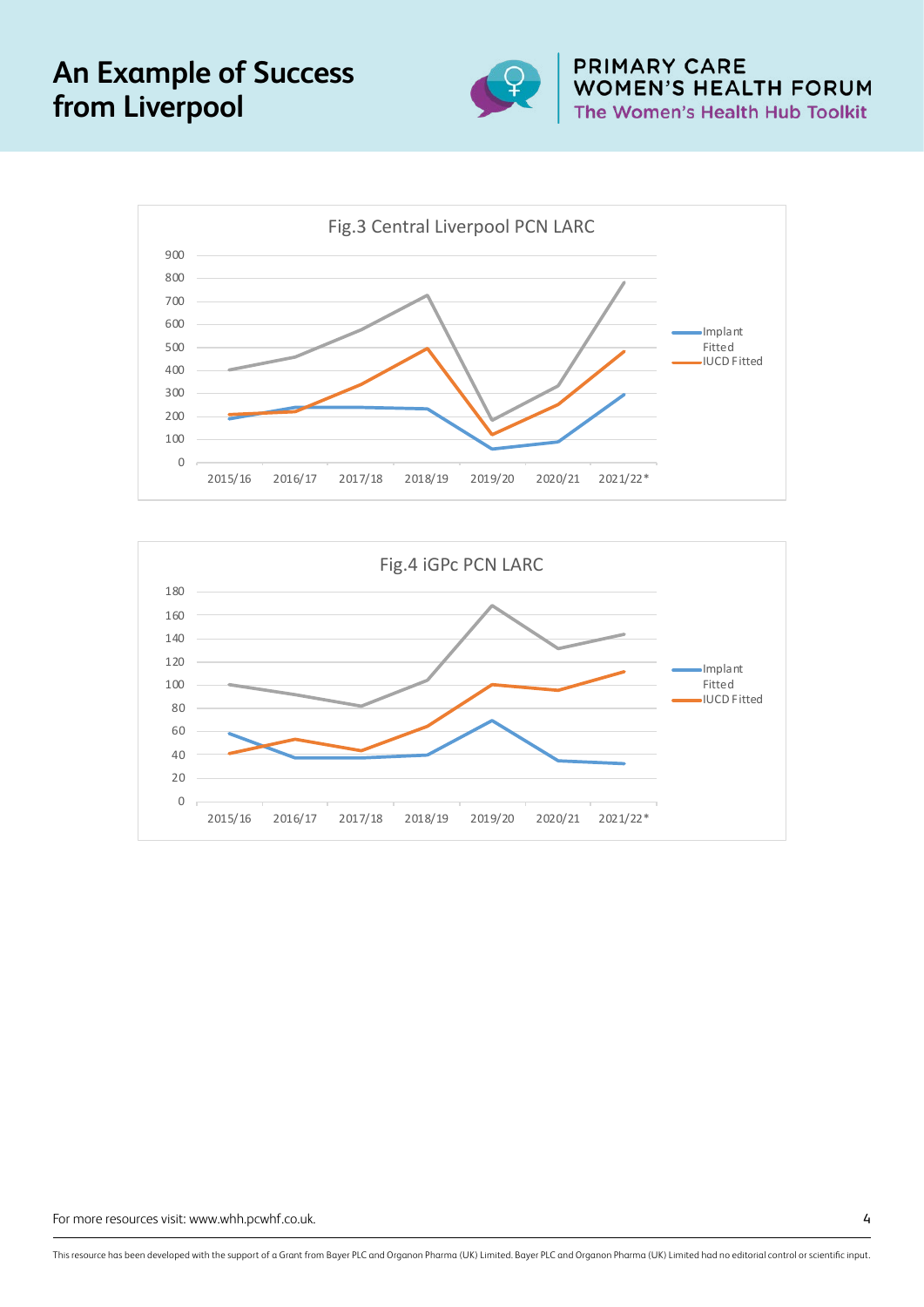

**PRIMARY CARE** WOMEN'S HEALTH FORUM The Women's Health Hub Toolkit



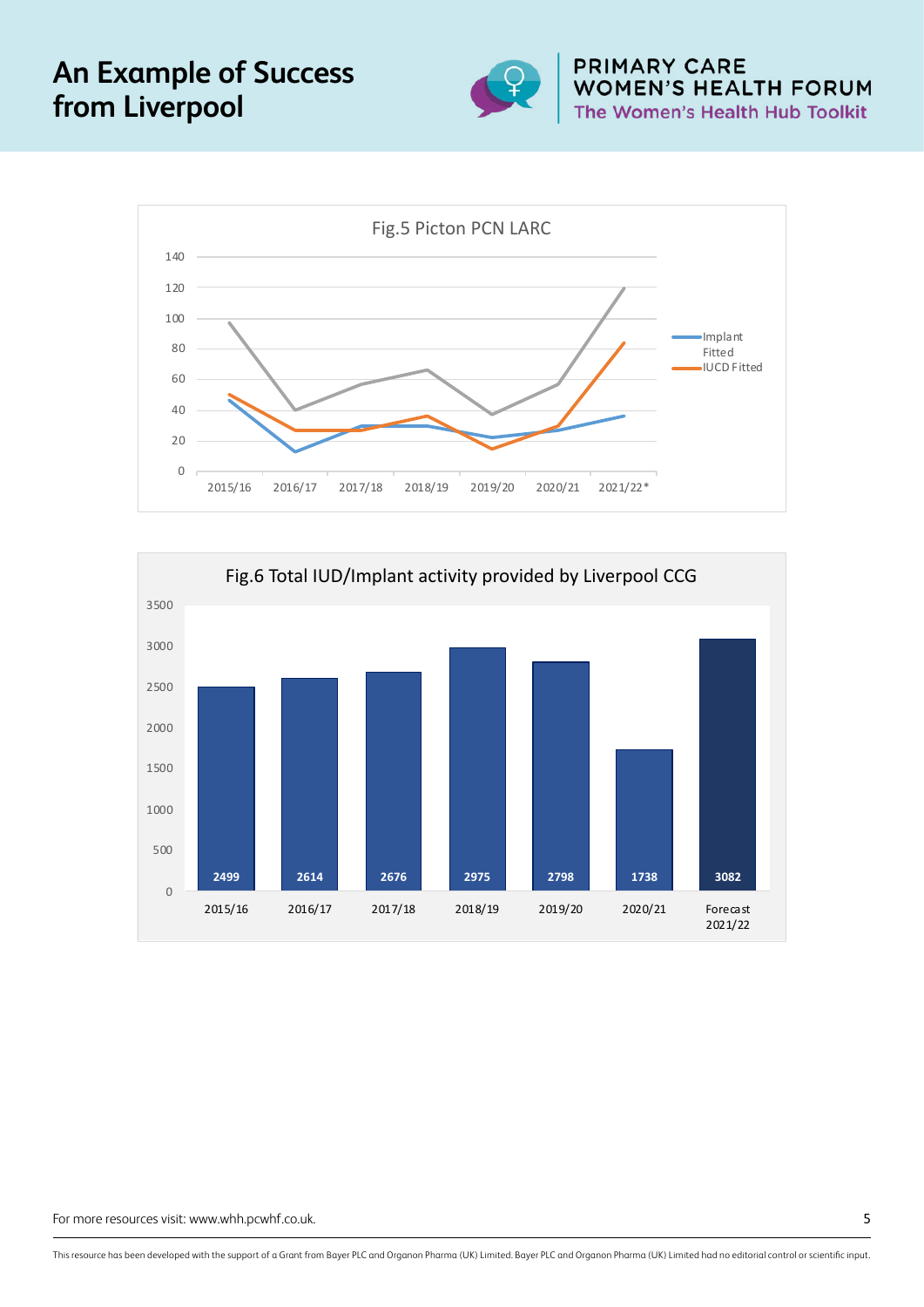

**PRIMARY CARE** WOMEN'S HEALTH FORUM<br>The Women's Health Hub Toolkit